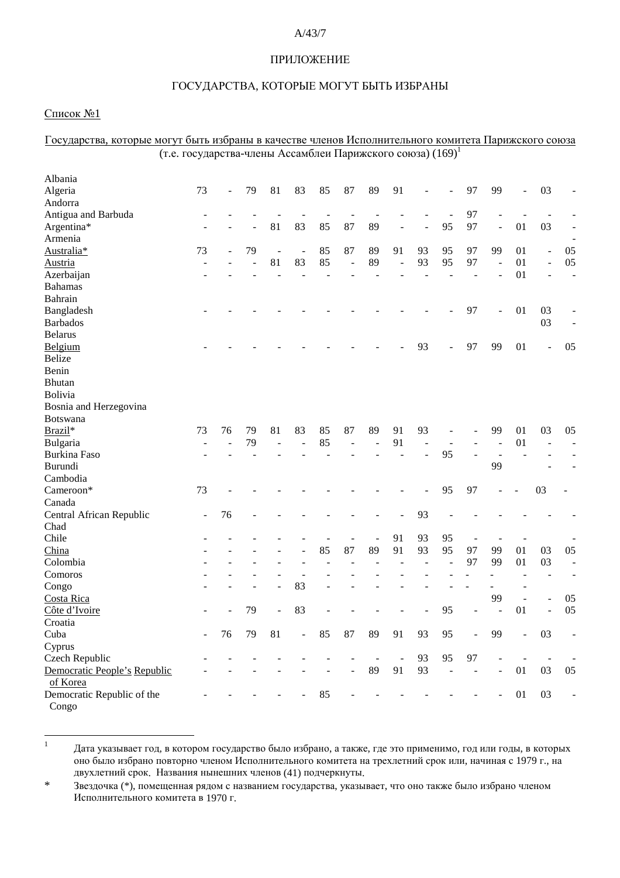### A/43/7

#### ПРИЛОЖЕНИЕ

#### ГОСУДАРСТВА, КОТОРЫЕ МОГУТ БЫТЬ ИЗБРАНЫ

#### <u>Список №1</u>

Congo

| <u>ROTOPDIC MOI VT ODITD HOODHIIDI D RU ICCIDC THCHOS HUHOJIIHI CABINOI O ROMHIUTU HUDHMUROI O CONOSU</u> |                                                                        |    |    |               |                          |    |                          |                          |                          |    |                          |                          |                          |                   |                |                          |
|-----------------------------------------------------------------------------------------------------------|------------------------------------------------------------------------|----|----|---------------|--------------------------|----|--------------------------|--------------------------|--------------------------|----|--------------------------|--------------------------|--------------------------|-------------------|----------------|--------------------------|
|                                                                                                           | (т.е. государства-члены Ассамблеи Парижского союза) (169) <sup>1</sup> |    |    |               |                          |    |                          |                          |                          |    |                          |                          |                          |                   |                |                          |
| Albania                                                                                                   |                                                                        |    |    |               |                          |    |                          |                          |                          |    |                          |                          |                          |                   |                |                          |
| Algeria                                                                                                   | 73                                                                     |    | 79 | 81            | 83                       | 85 | 87                       | 89                       | 91                       |    |                          | 97                       | 99                       |                   | 03             |                          |
| Andorra                                                                                                   |                                                                        |    |    |               |                          |    |                          |                          |                          |    |                          |                          |                          |                   |                |                          |
| Antigua and Barbuda                                                                                       |                                                                        |    |    |               |                          |    |                          |                          |                          |    |                          | 97                       |                          |                   |                |                          |
| Argentina*                                                                                                |                                                                        |    |    | 81            | 83                       | 85 | 87                       | 89                       |                          |    | 95                       | 97                       | $\blacksquare$           | 01                | 03             |                          |
| Armenia                                                                                                   |                                                                        |    |    |               |                          |    |                          |                          |                          |    |                          |                          |                          |                   |                | $\overline{\phantom{a}}$ |
| Australia*                                                                                                | 73                                                                     |    | 79 | $\frac{1}{2}$ | $\overline{\phantom{a}}$ | 85 | 87                       | 89                       | 91                       | 93 | 95                       | 97                       | 99                       | 01                | $\overline{a}$ | 05                       |
| <b>Austria</b>                                                                                            |                                                                        |    |    | 81            | 83                       | 85 | $\overline{\phantom{a}}$ | 89                       | ÷,                       | 93 | 95                       | 97                       | $\overline{\phantom{a}}$ | 01                |                | 05                       |
| Azerbaijan                                                                                                |                                                                        |    |    |               |                          |    |                          |                          |                          |    |                          |                          |                          | 01                |                |                          |
| <b>Bahamas</b>                                                                                            |                                                                        |    |    |               |                          |    |                          |                          |                          |    |                          |                          |                          |                   |                |                          |
| Bahrain                                                                                                   |                                                                        |    |    |               |                          |    |                          |                          |                          |    |                          |                          |                          |                   |                |                          |
| Bangladesh                                                                                                |                                                                        |    |    |               |                          |    |                          |                          |                          |    |                          | 97                       |                          | 01                | 03             |                          |
| <b>Barbados</b>                                                                                           |                                                                        |    |    |               |                          |    |                          |                          |                          |    |                          |                          |                          |                   | 03             |                          |
| <b>Belarus</b>                                                                                            |                                                                        |    |    |               |                          |    |                          |                          |                          |    |                          |                          |                          |                   |                |                          |
| Belgium                                                                                                   |                                                                        |    |    |               |                          |    |                          |                          |                          | 93 |                          | 97                       | 99                       | 01                | ÷              | 05                       |
| <b>Belize</b>                                                                                             |                                                                        |    |    |               |                          |    |                          |                          |                          |    |                          |                          |                          |                   |                |                          |
| Benin                                                                                                     |                                                                        |    |    |               |                          |    |                          |                          |                          |    |                          |                          |                          |                   |                |                          |
| <b>Bhutan</b>                                                                                             |                                                                        |    |    |               |                          |    |                          |                          |                          |    |                          |                          |                          |                   |                |                          |
| Bolivia                                                                                                   |                                                                        |    |    |               |                          |    |                          |                          |                          |    |                          |                          |                          |                   |                |                          |
| Bosnia and Herzegovina                                                                                    |                                                                        |    |    |               |                          |    |                          |                          |                          |    |                          |                          |                          |                   |                |                          |
| Botswana                                                                                                  |                                                                        |    |    |               |                          |    |                          |                          |                          |    |                          |                          |                          |                   |                |                          |
| Brazil*                                                                                                   | 73                                                                     | 76 | 79 | 81            | 83                       | 85 | 87                       | 89                       | 91                       | 93 |                          |                          | 99                       | 01                | 03             | 05                       |
| Bulgaria                                                                                                  |                                                                        |    | 79 |               |                          | 85 |                          |                          | 91                       |    |                          |                          |                          | 01                |                |                          |
| Burkina Faso                                                                                              |                                                                        |    |    |               |                          |    |                          |                          |                          |    | 95                       |                          |                          |                   |                |                          |
| Burundi                                                                                                   |                                                                        |    |    |               |                          |    |                          |                          |                          |    |                          |                          | 99                       |                   |                |                          |
| Cambodia                                                                                                  |                                                                        |    |    |               |                          |    |                          |                          |                          |    |                          |                          |                          |                   |                |                          |
| Cameroon*                                                                                                 | 73                                                                     |    |    |               |                          |    |                          |                          |                          |    | 95                       | 97                       |                          |                   | 03             |                          |
| Canada                                                                                                    |                                                                        |    |    |               |                          |    |                          |                          |                          |    |                          |                          |                          |                   |                |                          |
| Central African Republic                                                                                  |                                                                        | 76 |    |               |                          |    |                          |                          |                          | 93 |                          |                          |                          |                   |                |                          |
| Chad                                                                                                      |                                                                        |    |    |               |                          |    |                          |                          |                          |    |                          |                          |                          |                   |                |                          |
| Chile                                                                                                     |                                                                        |    |    |               |                          |    |                          | $\overline{\phantom{a}}$ | 91                       | 93 | 95                       | $\overline{\phantom{a}}$ | $\overline{\phantom{a}}$ |                   |                |                          |
| China                                                                                                     |                                                                        |    |    |               |                          | 85 | 87                       | 89                       | 91                       | 93 | 95                       | 97                       | 99                       | 01                | 03             | 05                       |
| Colombia                                                                                                  |                                                                        |    |    |               |                          |    |                          |                          |                          |    |                          | 97                       | 99                       | 01                | 03             | $\blacksquare$           |
| Comoros                                                                                                   |                                                                        |    |    |               |                          |    |                          |                          |                          |    |                          |                          |                          |                   |                |                          |
| Congo                                                                                                     |                                                                        |    |    |               | 83                       |    |                          |                          |                          |    |                          |                          |                          |                   |                |                          |
| Costa Rica                                                                                                |                                                                        |    |    |               |                          |    |                          |                          |                          |    |                          |                          | 99                       |                   |                | 05                       |
| Côte d'Ivoire                                                                                             |                                                                        |    | 79 |               | 83                       |    |                          |                          |                          |    | 95                       |                          |                          | 01                |                | 05                       |
| Croatia                                                                                                   |                                                                        |    |    |               |                          |    |                          |                          |                          |    |                          |                          |                          |                   |                |                          |
| Cuba                                                                                                      |                                                                        | 76 | 79 | 81            | $\omega$ .               | 85 | 87                       | 89                       | 91                       | 93 | 95                       | $\Box$                   | 99                       | $\qquad \qquad -$ | 03             | ÷,                       |
| Cyprus                                                                                                    |                                                                        |    |    |               |                          |    |                          |                          |                          |    |                          |                          |                          |                   |                |                          |
| Czech Republic                                                                                            |                                                                        |    |    |               |                          |    |                          |                          | $\overline{\phantom{a}}$ | 93 | 95                       | 97                       | $\overline{a}$           |                   |                |                          |
| Democratic People's Republic                                                                              |                                                                        |    |    |               |                          |    |                          | 89                       | 91                       | 93 | $\overline{\phantom{a}}$ |                          | $\overline{\phantom{0}}$ | 01                | 03             | 05                       |
| of Korea                                                                                                  |                                                                        |    |    |               |                          |    |                          |                          |                          |    |                          |                          |                          |                   |                |                          |
| Democratic Republic of the                                                                                |                                                                        |    |    |               |                          | 85 |                          |                          |                          |    |                          |                          | -                        | 01                | 03             | -                        |

 $\Gamma$ осудавства, которые могут быть избраны в канестве нденов Исполнительного комитета Парижского союза

 $1 -$  Дата указывает год, в котором государство было избрано, а также, где это применимо, год или годы, в которых оно было избрано повторно членом Исполнительного комитета на трехлетний срок или, начиная с 1979 г., на двухлетний срок. Названия нынешних членов (41) подчеркнуты.

<sup>\*</sup> Звездочка (\*), помещенная рядом с названием государства, указывает, что оно также было избрано членом Исполнительного комитета в 1970 г.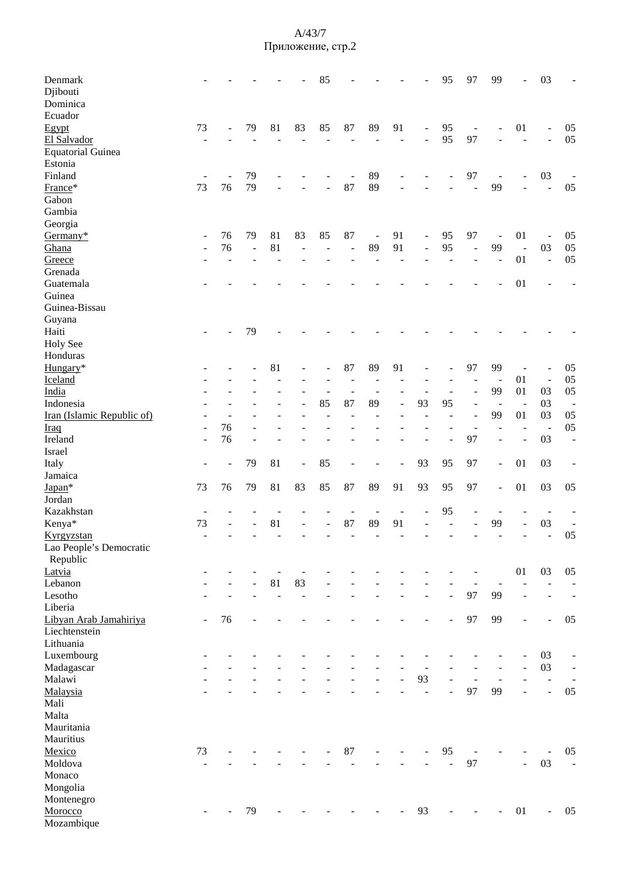| Denmark<br>Djibouti<br>Dominica |                          |    |                          |    |                          | 85             |                          |                |                |                                                          | 95             | 97                       | 99                             | ÷                        | 03                       |                              |
|---------------------------------|--------------------------|----|--------------------------|----|--------------------------|----------------|--------------------------|----------------|----------------|----------------------------------------------------------|----------------|--------------------------|--------------------------------|--------------------------|--------------------------|------------------------------|
| Ecuador                         |                          |    |                          |    |                          |                |                          |                |                |                                                          |                |                          |                                |                          |                          |                              |
| Egypt                           | 73                       |    | 79                       | 81 | 83                       | 85             | 87                       | 89             | 91             | $\blacksquare$                                           | 95             | $\overline{a}$           |                                | 01                       | $\frac{1}{2}$            | 05                           |
| El Salvador                     |                          |    |                          |    |                          |                |                          |                |                | $\overline{a}$                                           | 95             | 97                       |                                | $\overline{a}$           | $\overline{a}$           | 05                           |
| <b>Equatorial Guinea</b>        |                          |    |                          |    |                          |                |                          |                |                |                                                          |                |                          |                                |                          |                          |                              |
| Estonia                         |                          |    |                          |    |                          |                |                          |                |                |                                                          |                |                          |                                |                          |                          |                              |
| Finland                         |                          |    | 79                       |    |                          |                |                          | 89             |                |                                                          |                | 97                       |                                |                          | 03                       |                              |
| France*                         | 73                       | 76 | 79                       |    |                          |                | 87                       | 89             |                |                                                          |                |                          | 99                             |                          | $\overline{a}$           | 05                           |
| Gabon                           |                          |    |                          |    |                          |                |                          |                |                |                                                          |                |                          |                                |                          |                          |                              |
| Gambia                          |                          |    |                          |    |                          |                |                          |                |                |                                                          |                |                          |                                |                          |                          |                              |
| Georgia                         |                          |    |                          |    |                          |                |                          |                |                |                                                          |                |                          |                                |                          |                          |                              |
| Germany*                        |                          | 76 | 79                       | 81 | 83                       | 85             | 87                       | $\blacksquare$ | 91             |                                                          | 95             | 97                       |                                | 01                       |                          | 05                           |
| Ghana                           | $\overline{\phantom{a}}$ | 76 | $\overline{\phantom{a}}$ | 81 | $\overline{\phantom{a}}$ | $\overline{a}$ | $\overline{\phantom{a}}$ | 89             | 91             | $\qquad \qquad \blacksquare$<br>$\overline{\phantom{a}}$ | 95             | $\overline{a}$           | $\overline{\phantom{a}}$<br>99 | $\overline{\phantom{a}}$ | 03                       | 05                           |
| Greece                          |                          |    |                          |    |                          |                |                          |                |                |                                                          |                |                          |                                | 01                       | $\overline{\phantom{a}}$ | 05                           |
| Grenada                         |                          |    |                          |    |                          |                |                          |                |                |                                                          |                |                          |                                |                          |                          |                              |
|                                 |                          |    |                          |    |                          |                |                          |                |                |                                                          |                |                          |                                |                          |                          |                              |
| Guatemala                       |                          |    |                          |    |                          |                |                          |                |                |                                                          |                |                          |                                | 01                       |                          |                              |
| Guinea                          |                          |    |                          |    |                          |                |                          |                |                |                                                          |                |                          |                                |                          |                          |                              |
| Guinea-Bissau                   |                          |    |                          |    |                          |                |                          |                |                |                                                          |                |                          |                                |                          |                          |                              |
| Guyana                          |                          |    |                          |    |                          |                |                          |                |                |                                                          |                |                          |                                |                          |                          |                              |
| Haiti                           |                          |    | 79                       |    |                          |                |                          |                |                |                                                          |                |                          |                                |                          |                          |                              |
| <b>Holy See</b>                 |                          |    |                          |    |                          |                |                          |                |                |                                                          |                |                          |                                |                          |                          |                              |
| Honduras                        |                          |    |                          |    |                          |                |                          |                |                |                                                          |                |                          |                                |                          |                          |                              |
| Hungary*                        |                          |    |                          | 81 |                          |                | 87                       | 89             | 91             |                                                          |                | 97                       | 99                             |                          |                          | 05                           |
| Iceland                         |                          |    |                          |    |                          |                |                          |                |                |                                                          |                |                          | $\overline{\phantom{a}}$       | 01                       | $\blacksquare$           | 05                           |
| India                           |                          |    |                          |    |                          |                | $\overline{a}$           | $\overline{a}$ |                |                                                          |                | $\overline{a}$           | 99                             | 01                       | 03                       | 05                           |
| Indonesia                       |                          |    |                          |    |                          | 85             | 87                       | 89             | $\overline{a}$ | 93                                                       | 95             | $\overline{\phantom{a}}$ |                                | $\blacksquare$           | 03                       | $\overline{\phantom{a}}$     |
| Iran (Islamic Republic of)      |                          |    |                          |    |                          |                |                          |                |                |                                                          |                | $\blacksquare$           | 99                             | 01                       | 03                       | 05                           |
| <b>Iraq</b>                     |                          | 76 |                          |    |                          |                |                          |                |                |                                                          |                |                          |                                | L.                       | $\overline{a}$           | 05                           |
| Ireland                         | ÷,                       | 76 |                          |    |                          |                |                          |                |                |                                                          |                | 97                       |                                | Ē,                       | 03                       | $\overline{a}$               |
| Israel                          |                          |    |                          |    |                          |                |                          |                |                |                                                          |                |                          |                                |                          |                          |                              |
| Italy                           |                          |    | 79                       | 81 | $\blacksquare$           | 85             |                          |                |                | 93                                                       | 95             | 97                       | ÷                              | 01                       | 03                       |                              |
| Jamaica                         |                          |    |                          |    |                          |                |                          |                |                |                                                          |                |                          |                                |                          |                          |                              |
| Japan*                          | 73                       | 76 | 79                       | 81 | 83                       | 85             | 87                       | 89             | 91             | 93                                                       | 95             | 97                       | ÷,                             | 01                       | 03                       | 05                           |
| Jordan                          |                          |    |                          |    |                          |                |                          |                |                |                                                          |                |                          |                                |                          |                          |                              |
| Kazakhstan                      |                          |    |                          |    |                          |                |                          |                |                |                                                          | 95             |                          |                                |                          |                          |                              |
| Kenya*                          | 73                       |    |                          | 81 |                          |                | 87                       | 89             | 91             |                                                          |                |                          | 99                             |                          | 03                       | $\overline{\phantom{a}}$     |
| Kyrgyzstan                      |                          |    |                          |    |                          |                |                          |                |                |                                                          |                |                          |                                |                          |                          | 05                           |
| Lao People's Democratic         |                          |    |                          |    |                          |                |                          |                |                |                                                          |                |                          |                                |                          |                          |                              |
| Republic                        |                          |    |                          |    |                          |                |                          |                |                |                                                          |                |                          |                                |                          |                          |                              |
| Latvia                          |                          |    |                          |    |                          |                |                          |                |                |                                                          |                |                          |                                | 01                       | 03                       | 05                           |
| Lebanon                         |                          |    |                          | 81 | 83                       |                |                          |                |                |                                                          |                |                          |                                |                          |                          | $\overline{\phantom{0}}$     |
| Lesotho                         |                          |    |                          | ÷, | $\overline{a}$           |                |                          |                |                | $\overline{\phantom{a}}$                                 | ÷,             | 97                       | 99                             | $\overline{a}$           | $\overline{a}$           | $\overline{\phantom{0}}$     |
| Liberia                         |                          |    |                          |    |                          |                |                          |                |                |                                                          |                |                          |                                |                          |                          |                              |
| Libyan Arab Jamahiriya          |                          | 76 |                          |    |                          |                |                          |                |                |                                                          |                | 97                       | 99                             | $\overline{a}$           | $\overline{a}$           | 05                           |
| Liechtenstein                   |                          |    |                          |    |                          |                |                          |                |                |                                                          |                |                          |                                |                          |                          |                              |
| Lithuania                       |                          |    |                          |    |                          |                |                          |                |                |                                                          |                |                          |                                |                          |                          |                              |
| Luxembourg                      |                          |    |                          |    |                          |                |                          |                |                |                                                          |                |                          |                                | $\overline{a}$           | 03                       | $\qquad \qquad \blacksquare$ |
| Madagascar                      |                          |    |                          |    |                          |                |                          |                |                |                                                          |                |                          |                                | $\overline{a}$           | 03                       | $\blacksquare$               |
| Malawi                          |                          |    |                          |    |                          |                |                          |                |                | 93                                                       | $\overline{a}$ | ÷,                       | $\overline{\phantom{a}}$       | ÷,                       | $\overline{\phantom{a}}$ | $\overline{\phantom{a}}$     |
| Malaysia                        |                          |    |                          |    |                          |                |                          |                |                | $\overline{a}$                                           | $\overline{a}$ | 97                       | 99                             | $\overline{a}$           | $\overline{a}$           | 05                           |
| Mali                            |                          |    |                          |    |                          |                |                          |                |                |                                                          |                |                          |                                |                          |                          |                              |
| Malta                           |                          |    |                          |    |                          |                |                          |                |                |                                                          |                |                          |                                |                          |                          |                              |
| Mauritania                      |                          |    |                          |    |                          |                |                          |                |                |                                                          |                |                          |                                |                          |                          |                              |
| Mauritius                       |                          |    |                          |    |                          |                |                          |                |                |                                                          |                |                          |                                |                          |                          |                              |
| Mexico                          | 73                       |    |                          |    |                          |                | 87                       |                |                |                                                          | 95             |                          |                                |                          |                          | 05                           |
| Moldova                         |                          |    |                          |    |                          |                |                          |                |                |                                                          | L.             | 97                       |                                | ÷,                       | 03                       | $\Box$                       |
| Monaco                          |                          |    |                          |    |                          |                |                          |                |                |                                                          |                |                          |                                |                          |                          |                              |
| Mongolia                        |                          |    |                          |    |                          |                |                          |                |                |                                                          |                |                          |                                |                          |                          |                              |
| Montenegro                      |                          |    |                          |    |                          |                |                          |                |                |                                                          |                |                          |                                |                          |                          |                              |
| Morocco                         |                          |    | 79                       |    |                          |                |                          |                |                | 93                                                       |                |                          |                                | 01                       | ÷,                       | 05                           |
| Mozambique                      |                          |    |                          |    |                          |                |                          |                |                |                                                          |                |                          |                                |                          |                          |                              |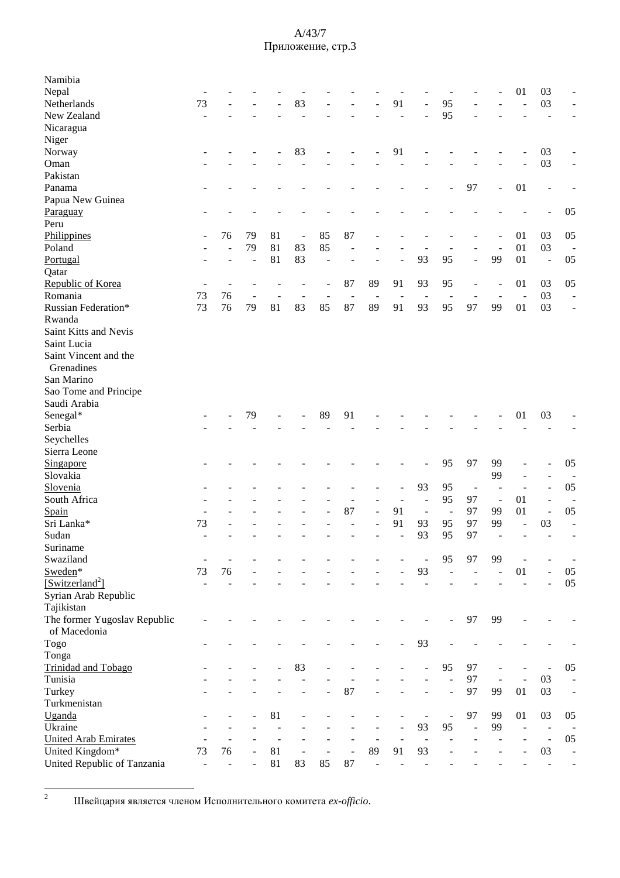| Namibia                      |                          |    |    |    |                              |    |                          |                          |                          |                          |                          |                          |                          |                     |                          |                          |
|------------------------------|--------------------------|----|----|----|------------------------------|----|--------------------------|--------------------------|--------------------------|--------------------------|--------------------------|--------------------------|--------------------------|---------------------|--------------------------|--------------------------|
| Nepal                        |                          |    |    |    |                              |    |                          |                          |                          |                          |                          |                          |                          | 01                  | 03                       |                          |
| Netherlands                  | 73                       |    |    |    | 83                           |    |                          |                          | 91                       | L,                       | 95                       |                          |                          |                     | 03                       |                          |
| New Zealand                  |                          |    |    |    |                              |    |                          |                          |                          |                          | 95                       |                          |                          |                     |                          |                          |
| Nicaragua                    |                          |    |    |    |                              |    |                          |                          |                          |                          |                          |                          |                          |                     |                          |                          |
| Niger                        |                          |    |    |    |                              |    |                          |                          |                          |                          |                          |                          |                          |                     |                          |                          |
| Norway                       |                          |    |    |    | 83                           |    |                          |                          | 91                       |                          |                          |                          |                          |                     | 03                       |                          |
| Oman                         |                          |    |    |    |                              |    |                          |                          |                          |                          |                          |                          |                          |                     | 03                       |                          |
| Pakistan                     |                          |    |    |    |                              |    |                          |                          |                          |                          |                          |                          |                          |                     |                          |                          |
| Panama                       |                          |    |    |    |                              |    |                          |                          |                          |                          |                          | 97                       |                          | 01                  |                          |                          |
| Papua New Guinea             |                          |    |    |    |                              |    |                          |                          |                          |                          |                          |                          |                          |                     |                          |                          |
| Paraguay                     |                          |    |    |    |                              |    |                          |                          |                          |                          |                          |                          |                          |                     |                          | 05                       |
| Peru                         |                          |    |    |    |                              |    |                          |                          |                          |                          |                          |                          |                          |                     |                          |                          |
| Philippines                  |                          | 76 | 79 | 81 | $\qquad \qquad \blacksquare$ | 85 | 87                       |                          |                          |                          |                          |                          |                          | 01                  | 03                       | 05                       |
| Poland                       |                          |    | 79 | 81 | 83                           | 85 | L,                       |                          |                          |                          |                          |                          |                          | 01                  | 03                       | $\blacksquare$           |
| Portugal                     |                          |    | ÷, | 81 | 83                           | Ē, |                          |                          |                          | 93                       | 95                       | $\overline{a}$           | 99                       | 01                  | $\Box$                   | 05                       |
| Qatar                        |                          |    |    |    |                              |    |                          |                          |                          |                          |                          |                          |                          |                     |                          |                          |
| Republic of Korea            | $\overline{\phantom{0}}$ | ÷  |    |    |                              |    | 87                       | 89                       | 91                       | 93                       | 95                       |                          |                          | 01                  | 03                       | 05                       |
| Romania                      | 73                       | 76 | L, |    |                              |    |                          |                          |                          |                          |                          | $\overline{\phantom{a}}$ |                          | $\overline{a}$      | 03                       | L,                       |
|                              | 73                       |    |    |    |                              |    | $\overline{\phantom{a}}$ | $\overline{\phantom{a}}$ | $\overline{\phantom{a}}$ | $\overline{\phantom{a}}$ | $\overline{\phantom{a}}$ | $\overline{a}$<br>97     |                          |                     |                          |                          |
| Russian Federation*          |                          | 76 | 79 | 81 | 83                           | 85 | 87                       | 89                       | 91                       | 93                       | 95                       |                          | 99                       | 01                  | 03                       |                          |
| Rwanda                       |                          |    |    |    |                              |    |                          |                          |                          |                          |                          |                          |                          |                     |                          |                          |
| Saint Kitts and Nevis        |                          |    |    |    |                              |    |                          |                          |                          |                          |                          |                          |                          |                     |                          |                          |
| Saint Lucia                  |                          |    |    |    |                              |    |                          |                          |                          |                          |                          |                          |                          |                     |                          |                          |
| Saint Vincent and the        |                          |    |    |    |                              |    |                          |                          |                          |                          |                          |                          |                          |                     |                          |                          |
| Grenadines                   |                          |    |    |    |                              |    |                          |                          |                          |                          |                          |                          |                          |                     |                          |                          |
| San Marino                   |                          |    |    |    |                              |    |                          |                          |                          |                          |                          |                          |                          |                     |                          |                          |
| Sao Tome and Principe        |                          |    |    |    |                              |    |                          |                          |                          |                          |                          |                          |                          |                     |                          |                          |
| Saudi Arabia                 |                          |    |    |    |                              |    |                          |                          |                          |                          |                          |                          |                          |                     |                          |                          |
| Senegal*                     |                          |    | 79 |    |                              | 89 | 91                       |                          |                          |                          |                          |                          |                          | 01                  | 03                       |                          |
| Serbia                       |                          |    |    |    |                              |    |                          |                          |                          |                          |                          |                          |                          |                     |                          |                          |
| Seychelles                   |                          |    |    |    |                              |    |                          |                          |                          |                          |                          |                          |                          |                     |                          |                          |
| Sierra Leone                 |                          |    |    |    |                              |    |                          |                          |                          |                          |                          |                          |                          |                     |                          |                          |
| Singapore                    |                          |    |    |    |                              |    |                          |                          |                          |                          | 95                       | 97                       | 99                       |                     | $\overline{a}$           | 05                       |
| Slovakia                     |                          |    |    |    |                              |    |                          |                          |                          |                          |                          |                          | 99                       |                     | ÷,                       | $\overline{a}$           |
| Slovenia                     |                          |    |    |    |                              |    |                          |                          |                          | 93                       | 95                       | $\overline{\phantom{a}}$ |                          |                     | $\overline{a}$           | 05                       |
| South Africa                 |                          |    |    |    |                              |    |                          |                          |                          | $\overline{a}$           | 95                       | 97                       | $\overline{\phantom{a}}$ | 01                  | $\overline{a}$           | $\overline{a}$           |
| Spain                        |                          |    |    |    |                              |    | 87                       | $\overline{\phantom{a}}$ | 91                       | $\overline{\phantom{a}}$ | $\blacksquare$           | 97                       | 99                       | 01                  | $\blacksquare$           | 05                       |
| Sri Lanka*                   | 73                       |    |    |    |                              |    |                          | $\overline{a}$           | 91                       | 93                       | 95                       | 97                       | 99                       | $\blacksquare$      | 03                       | ÷,                       |
| Sudan                        | $\overline{\phantom{0}}$ |    |    |    |                              |    | L.                       |                          | $\overline{a}$           | 93                       | 95                       | 97                       | $\blacksquare$           | ÷                   | ÷,                       | $\overline{a}$           |
| Suriname                     |                          |    |    |    |                              |    |                          |                          |                          |                          |                          |                          |                          |                     |                          |                          |
| Swaziland                    |                          |    |    |    |                              |    |                          |                          |                          |                          | 95                       | 97                       | 99                       |                     |                          |                          |
| Sweden*                      | 73                       | 76 |    |    |                              |    |                          |                          |                          | 93                       |                          |                          |                          | 01                  | $\overline{\phantom{a}}$ | $05\,$                   |
| [Switzerland <sup>2</sup> ]  |                          |    |    |    |                              |    |                          |                          |                          |                          |                          |                          |                          |                     | L,                       | 05                       |
| Syrian Arab Republic         |                          |    |    |    |                              |    |                          |                          |                          |                          |                          |                          |                          |                     |                          |                          |
| Tajikistan                   |                          |    |    |    |                              |    |                          |                          |                          |                          |                          |                          |                          |                     |                          |                          |
| The former Yugoslav Republic |                          |    |    |    |                              |    |                          |                          |                          |                          |                          | 97                       | 99                       |                     |                          |                          |
| of Macedonia                 |                          |    |    |    |                              |    |                          |                          |                          |                          |                          |                          |                          |                     |                          |                          |
|                              |                          |    |    |    |                              |    |                          |                          |                          |                          |                          |                          |                          |                     |                          |                          |
| Togo                         |                          |    |    |    |                              |    |                          |                          |                          | 93                       |                          |                          |                          |                     |                          |                          |
| Tonga                        |                          |    |    |    |                              |    |                          |                          |                          |                          |                          |                          |                          |                     |                          |                          |
| Trinidad and Tobago          |                          |    |    |    | 83                           |    |                          |                          |                          |                          | 95                       | 97                       |                          |                     |                          | 05                       |
| Tunisia                      |                          |    |    |    |                              |    |                          |                          |                          |                          |                          | 97                       | $\overline{\phantom{a}}$ | $\mathbb{L}$        | 03                       | $\overline{\phantom{a}}$ |
| Turkey                       |                          |    |    |    |                              |    | 87                       |                          |                          |                          | L,                       | 97                       | 99                       | 01                  | 03                       | $\blacksquare$           |
| Turkmenistan                 |                          |    |    |    |                              |    |                          |                          |                          |                          |                          |                          |                          |                     |                          |                          |
| Uganda                       |                          |    |    | 81 |                              |    |                          |                          |                          |                          | ÷,                       | 97                       | 99                       | 01                  | 03                       | 05                       |
| Ukraine                      |                          |    |    |    |                              |    |                          |                          |                          | 93                       | 95                       | $\overline{a}$           | 99                       | $\bar{\phantom{a}}$ | $\blacksquare$           |                          |
| <b>United Arab Emirates</b>  |                          |    |    |    |                              |    |                          |                          |                          | $\overline{\phantom{a}}$ |                          |                          |                          |                     | $\Box$                   | 05                       |
| United Kingdom*              | 73                       | 76 |    | 81 | $\qquad \qquad \blacksquare$ |    | $\overline{a}$           | 89                       | 91                       | 93                       |                          |                          |                          |                     | 03                       | $\overline{a}$           |
| United Republic of Tanzania  | $\blacksquare$           |    |    | 81 | 83                           | 85 | 87                       | $\Box$                   |                          |                          |                          |                          |                          |                     | $\blacksquare$           |                          |

<sup>&</sup>lt;sup>2</sup> Швейцария является членом Исполнительного комитета ex-officio.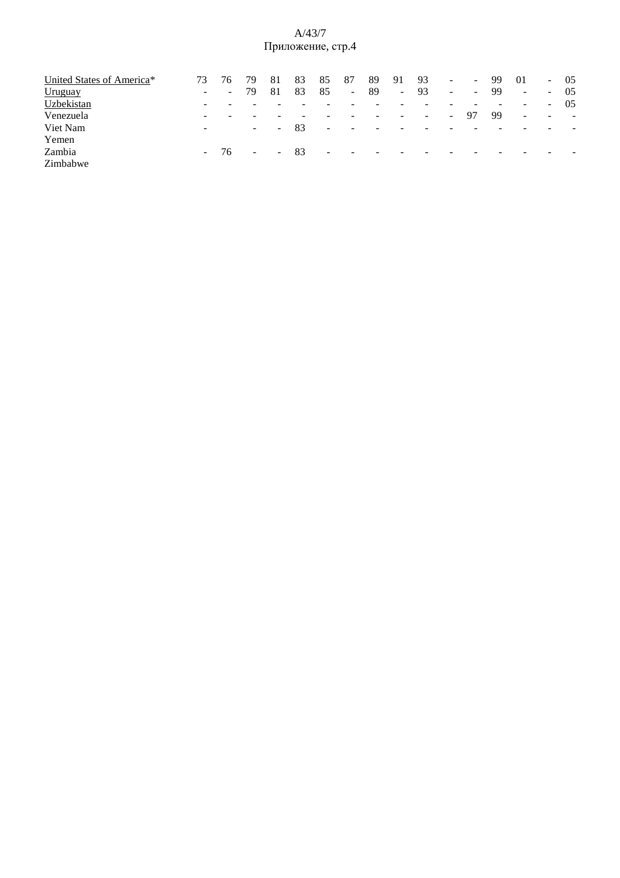| United States of America* | 73.                      |        | 79     | 81     | 83 | 85     | 87                       | 89                       | 91                       | 93                       | $\sim$ . | $\sim$                   | 99 | 01       |                          | $-05$  |
|---------------------------|--------------------------|--------|--------|--------|----|--------|--------------------------|--------------------------|--------------------------|--------------------------|----------|--------------------------|----|----------|--------------------------|--------|
| Uruguay                   | $\sim$                   | $\sim$ | 79     | 81     | 83 | 85     | $\blacksquare$           | -89                      | $\sim$                   | 93                       | $\sim$   | $\overline{\phantom{a}}$ | 99 | $\omega$ | $\sim$ .                 | -05    |
| Uzbekistan                | $\sim$                   |        |        |        |    |        |                          |                          |                          |                          |          |                          |    | $\sim$   | $\sim$ 10 $\,$           | -05    |
| Venezuela                 | $\overline{\phantom{a}}$ |        | -      |        |    |        |                          |                          |                          | $\overline{\phantom{a}}$ | $\sim$   | 97                       | 99 | $\sim$   | $\overline{\phantom{0}}$ | $\sim$ |
| Viet Nam                  | $\overline{\phantom{a}}$ |        | $\sim$ | $\sim$ | 83 | $\sim$ | $\overline{\phantom{a}}$ | $\overline{a}$           | -                        | $\overline{\phantom{a}}$ |          |                          |    |          |                          |        |
| Yemen                     |                          |        |        |        |    |        |                          |                          |                          |                          |          |                          |    |          |                          |        |
| Zambia                    | $\sim 100$               | 76     | $\sim$ | $\sim$ | 83 | $\sim$ | $\overline{\phantom{0}}$ | $\overline{\phantom{0}}$ | $\overline{\phantom{a}}$ | $\overline{\phantom{a}}$ |          |                          |    |          |                          |        |
| Zimbabwe                  |                          |        |        |        |    |        |                          |                          |                          |                          |          |                          |    |          |                          |        |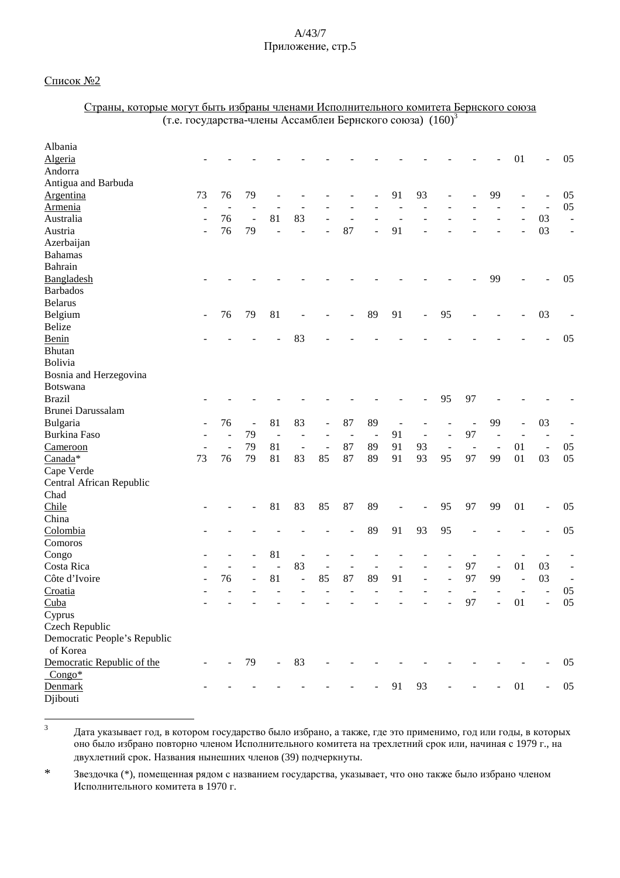<u>Страны, которые могут быть избраны членами Исполнительного комитета Бернского союза</u>

### Список №2

|                              | (т.е. государства-члены Ассамблеи Бернского союза) (160) <sup>3</sup> |                |                          |        |                          |    |                          |        |    |                          |                          |    |                          |    |                              |                              |
|------------------------------|-----------------------------------------------------------------------|----------------|--------------------------|--------|--------------------------|----|--------------------------|--------|----|--------------------------|--------------------------|----|--------------------------|----|------------------------------|------------------------------|
| Albania                      |                                                                       |                |                          |        |                          |    |                          |        |    |                          |                          |    |                          |    |                              |                              |
| Algeria                      |                                                                       |                |                          |        |                          |    |                          |        |    |                          |                          |    |                          | 01 | $\overline{\phantom{a}}$     | 05                           |
| Andorra                      |                                                                       |                |                          |        |                          |    |                          |        |    |                          |                          |    |                          |    |                              |                              |
| Antigua and Barbuda          |                                                                       |                |                          |        |                          |    |                          |        |    |                          |                          |    |                          |    |                              |                              |
| Argentina                    | 73                                                                    | 76             | 79                       |        |                          |    |                          |        | 91 | 93                       |                          |    | 99                       |    |                              | 05                           |
| <b>Armenia</b>               |                                                                       |                |                          |        |                          |    |                          |        |    |                          |                          |    |                          |    |                              | 05                           |
| Australia                    |                                                                       | 76             | $\overline{\phantom{a}}$ | 81     | 83                       |    |                          |        |    |                          |                          |    |                          |    | 03                           | $\Box$                       |
| Austria                      |                                                                       | 76             | 79                       |        |                          |    | 87                       |        | 91 |                          |                          |    |                          |    | 03                           | $\qquad \qquad \blacksquare$ |
| Azerbaijan                   |                                                                       |                |                          |        |                          |    |                          |        |    |                          |                          |    |                          |    |                              |                              |
| <b>Bahamas</b>               |                                                                       |                |                          |        |                          |    |                          |        |    |                          |                          |    |                          |    |                              |                              |
| Bahrain                      |                                                                       |                |                          |        |                          |    |                          |        |    |                          |                          |    |                          |    |                              |                              |
| Bangladesh                   |                                                                       |                |                          |        |                          |    |                          |        |    |                          |                          |    | 99                       |    |                              | 05                           |
| <b>Barbados</b>              |                                                                       |                |                          |        |                          |    |                          |        |    |                          |                          |    |                          |    |                              |                              |
| <b>Belarus</b>               |                                                                       |                |                          |        |                          |    |                          |        |    |                          |                          |    |                          |    |                              |                              |
| Belgium                      |                                                                       | 76             | 79                       | 81     |                          |    |                          | 89     | 91 | $\overline{a}$           | 95                       |    |                          |    | 03                           |                              |
| Belize                       |                                                                       |                |                          |        |                          |    |                          |        |    |                          |                          |    |                          |    |                              |                              |
| Benin                        |                                                                       |                |                          |        | 83                       |    |                          |        |    |                          |                          |    |                          |    |                              | 05                           |
| <b>Bhutan</b>                |                                                                       |                |                          |        |                          |    |                          |        |    |                          |                          |    |                          |    |                              |                              |
| <b>Bolivia</b>               |                                                                       |                |                          |        |                          |    |                          |        |    |                          |                          |    |                          |    |                              |                              |
| Bosnia and Herzegovina       |                                                                       |                |                          |        |                          |    |                          |        |    |                          |                          |    |                          |    |                              |                              |
| <b>Botswana</b>              |                                                                       |                |                          |        |                          |    |                          |        |    |                          |                          |    |                          |    |                              |                              |
| <b>Brazil</b>                |                                                                       |                |                          |        |                          |    |                          |        |    |                          | 95                       | 97 |                          |    |                              |                              |
| Brunei Darussalam            |                                                                       |                |                          |        |                          |    |                          |        |    |                          |                          |    |                          |    |                              |                              |
| Bulgaria                     |                                                                       | 76             | $\overline{\phantom{0}}$ | 81     | 83                       |    | 87                       | 89     |    |                          |                          |    | 99                       |    | 03                           |                              |
| <b>Burkina Faso</b>          |                                                                       |                | 79                       | $\sim$ |                          |    | $\overline{\phantom{a}}$ | $\sim$ | 91 | $\overline{\phantom{a}}$ | $\overline{\phantom{0}}$ | 97 |                          |    |                              |                              |
| Cameroon                     |                                                                       | $\overline{a}$ | 79                       | 81     | $\overline{\phantom{a}}$ |    | 87                       | 89     | 91 | 93                       | $\blacksquare$           |    | $\overline{\phantom{a}}$ | 01 | $\qquad \qquad \blacksquare$ | 05                           |
| Canada*                      | 73                                                                    | 76             | 79                       | 81     | 83                       | 85 | 87                       | 89     | 91 | 93                       | 95                       | 97 | 99                       | 01 | 03                           | 05                           |
| Cape Verde                   |                                                                       |                |                          |        |                          |    |                          |        |    |                          |                          |    |                          |    |                              |                              |
| Central African Republic     |                                                                       |                |                          |        |                          |    |                          |        |    |                          |                          |    |                          |    |                              |                              |
| Chad                         |                                                                       |                |                          |        |                          |    |                          |        |    |                          |                          |    |                          |    |                              |                              |
| Chile                        |                                                                       |                |                          | 81     | 83                       | 85 | 87                       | 89     |    |                          | 95                       | 97 | 99                       | 01 | $\overline{\phantom{0}}$     | 05                           |
| China                        |                                                                       |                |                          |        |                          |    |                          |        |    |                          |                          |    |                          |    |                              |                              |
| Colombia                     |                                                                       |                |                          |        |                          |    |                          | 89     | 91 | 93                       | 95                       |    |                          |    |                              | 05                           |
| Comoros                      |                                                                       |                |                          |        |                          |    |                          |        |    |                          |                          |    |                          |    |                              |                              |
| Congo                        |                                                                       |                |                          | 81     |                          |    |                          |        |    |                          |                          |    |                          |    |                              |                              |
| Costa Rica                   |                                                                       |                |                          |        | 83                       |    |                          |        |    |                          |                          | 97 |                          | 01 | 03                           | $\qquad \qquad \blacksquare$ |
| Côte d'Ivoire                |                                                                       | 76             |                          | 81     | $\overline{\phantom{a}}$ | 85 | 87                       | 89     | 91 | -                        |                          | 97 | 99                       |    | 03                           | $\overline{\phantom{a}}$     |
| Croatia                      |                                                                       |                |                          |        |                          |    |                          |        |    |                          |                          |    |                          |    |                              | 05                           |
| Cuba                         |                                                                       |                |                          |        |                          |    |                          |        |    |                          |                          | 97 |                          | 01 |                              | 05                           |
| Cyprus                       |                                                                       |                |                          |        |                          |    |                          |        |    |                          |                          |    |                          |    |                              |                              |
| Czech Republic               |                                                                       |                |                          |        |                          |    |                          |        |    |                          |                          |    |                          |    |                              |                              |
| Democratic People's Republic |                                                                       |                |                          |        |                          |    |                          |        |    |                          |                          |    |                          |    |                              |                              |
| of Korea                     |                                                                       |                |                          |        |                          |    |                          |        |    |                          |                          |    |                          |    |                              |                              |
| Democratic Republic of the   |                                                                       |                | 79                       |        | 83                       |    |                          |        |    |                          |                          |    |                          |    |                              | 05                           |
| $Congo*$                     |                                                                       |                |                          |        |                          |    |                          |        |    |                          |                          |    |                          |    |                              |                              |
| Denmark                      |                                                                       |                |                          |        |                          |    |                          |        | 91 | 93                       |                          |    |                          | 01 | $\blacksquare$               | 05                           |
| Djibouti                     |                                                                       |                |                          |        |                          |    |                          |        |    |                          |                          |    |                          |    |                              |                              |

<sup>3</sup> Дата указывает год, в котором государство было избрано, а также, где это применимо, год или годы, в которых оно было избрано повторно членом Исполнительного комитета на трехлетний срок или, начиная с 1979 г., на двухлетний срок. Названия нынешних членов (39) подчеркнуты.

\* Звездочка (\*), помещенная рядом с названием государства, указывает, что оно также было избрано членом Исполнительного комитета в 1970 г.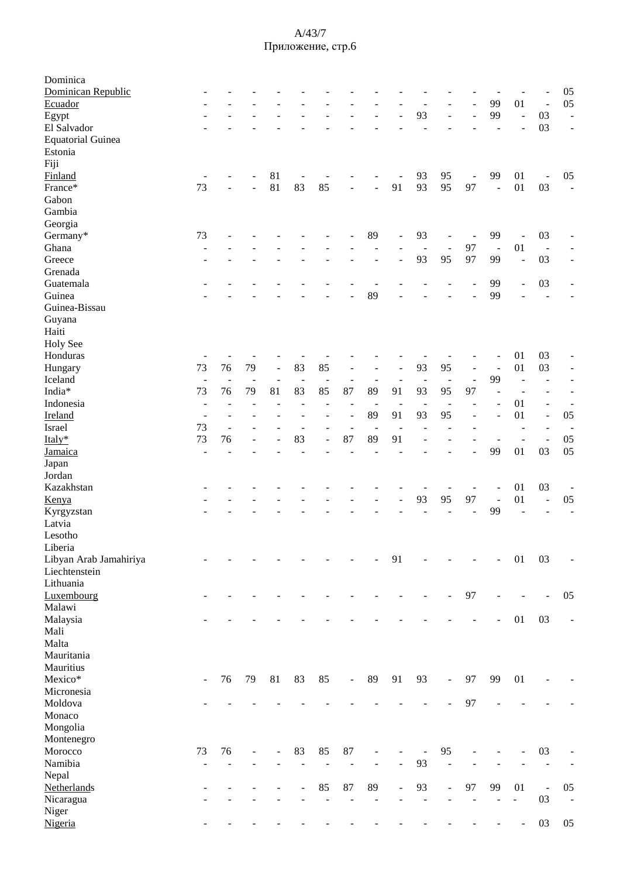| Dominica<br>Dominican Republic          |                          |                          |                |                |                |                          |                          |                          |                          |                          |                          |                          |                |                          |                          | 05                       |
|-----------------------------------------|--------------------------|--------------------------|----------------|----------------|----------------|--------------------------|--------------------------|--------------------------|--------------------------|--------------------------|--------------------------|--------------------------|----------------|--------------------------|--------------------------|--------------------------|
| Ecuador                                 |                          |                          |                |                |                |                          |                          |                          |                          |                          |                          |                          | 99             | 01                       | $\overline{\phantom{a}}$ | 05                       |
| Egypt                                   |                          |                          |                |                |                |                          |                          |                          |                          | 93                       |                          | $\overline{\phantom{a}}$ | 99             | $\overline{a}$           | 03                       | $\overline{a}$           |
| El Salvador                             |                          |                          |                |                |                |                          |                          |                          |                          |                          |                          |                          |                |                          | 03                       | $\overline{\phantom{a}}$ |
| <b>Equatorial Guinea</b>                |                          |                          |                |                |                |                          |                          |                          |                          |                          |                          |                          |                |                          |                          |                          |
| Estonia                                 |                          |                          |                |                |                |                          |                          |                          |                          |                          |                          |                          |                |                          |                          |                          |
| Fiji                                    |                          |                          |                |                |                |                          |                          |                          |                          |                          |                          |                          |                |                          |                          |                          |
| Finland                                 |                          |                          |                | 81             |                |                          |                          |                          |                          | 93                       | 95                       | $\Box$                   | 99             | 01                       | $\blacksquare$           | 05                       |
| France*                                 | 73                       |                          |                | 81             | 83             | 85                       |                          | $\overline{a}$           | 91                       | 93                       | 95                       | 97                       | $\overline{a}$ | 01                       | 03                       | $\blacksquare$           |
| Gabon                                   |                          |                          |                |                |                |                          |                          |                          |                          |                          |                          |                          |                |                          |                          |                          |
| Gambia                                  |                          |                          |                |                |                |                          |                          |                          |                          |                          |                          |                          |                |                          |                          |                          |
| Georgia                                 |                          |                          |                |                |                |                          |                          |                          |                          |                          |                          |                          |                |                          |                          |                          |
| Germany*                                | 73                       |                          |                |                |                |                          |                          | 89                       |                          | 93                       |                          | $\overline{\phantom{a}}$ | 99             |                          | 03                       |                          |
| Ghana                                   |                          |                          |                |                |                |                          |                          |                          |                          | $\blacksquare$           | $\overline{\phantom{a}}$ | 97                       | $\sim$         | 01                       | $\overline{\phantom{a}}$ |                          |
| Greece                                  |                          |                          |                |                |                |                          |                          |                          |                          | 93                       | 95                       | 97                       | 99             | $\overline{a}$           | 03                       |                          |
| Grenada                                 |                          |                          |                |                |                |                          |                          |                          |                          |                          |                          |                          |                |                          |                          |                          |
| Guatemala                               |                          |                          |                |                |                |                          |                          |                          |                          |                          |                          |                          | 99             | $\overline{\phantom{m}}$ | 03                       |                          |
| Guinea                                  |                          |                          |                |                |                |                          |                          | 89                       |                          |                          |                          |                          | 99             |                          | $\blacksquare$           |                          |
| Guinea-Bissau                           |                          |                          |                |                |                |                          |                          |                          |                          |                          |                          |                          |                |                          |                          |                          |
| Guyana                                  |                          |                          |                |                |                |                          |                          |                          |                          |                          |                          |                          |                |                          |                          |                          |
| Haiti                                   |                          |                          |                |                |                |                          |                          |                          |                          |                          |                          |                          |                |                          |                          |                          |
| Holy See                                |                          |                          |                |                |                |                          |                          |                          |                          |                          |                          |                          |                |                          |                          |                          |
| Honduras                                |                          |                          |                |                |                |                          |                          |                          |                          |                          |                          |                          |                | 01                       | 03                       |                          |
| Hungary                                 | 73                       | 76                       | 79             | $\frac{1}{2}$  | 83             | 85                       |                          |                          |                          | 93                       | 95                       | $\sim$                   |                | 01                       | 03                       | $\overline{\phantom{a}}$ |
| Iceland                                 | $\blacksquare$           | $\overline{\phantom{a}}$ | $\overline{a}$ | $\blacksquare$ | $\overline{a}$ | $\overline{\phantom{a}}$ | $\overline{\phantom{a}}$ | $\overline{\phantom{a}}$ | $\overline{\phantom{m}}$ | $\overline{\phantom{a}}$ | $\sim$                   | $\overline{a}$           | 99             | ÷,                       | $\overline{\phantom{a}}$ | $\overline{a}$           |
| India*                                  | 73                       | 76                       | 79             | 81             | 83             | 85                       | 87                       | 89                       | 91                       | 93                       | 95                       | 97                       |                |                          |                          | $\overline{a}$           |
| Indonesia                               | $\overline{a}$           |                          |                |                |                |                          | $\overline{a}$           | $\overline{a}$           |                          |                          | $\overline{\phantom{a}}$ |                          |                | 01                       | $\overline{\phantom{a}}$ | ÷,                       |
| Ireland                                 |                          |                          |                |                |                |                          |                          | 89                       | 91                       | 93                       | 95                       |                          |                | 01                       | $\blacksquare$           | 05                       |
| Israel                                  | 73                       | $\blacksquare$           |                |                |                |                          | $\overline{\phantom{a}}$ | $\overline{\phantom{a}}$ | ÷,                       |                          |                          |                          |                | $\overline{\phantom{m}}$ | $\overline{\phantom{a}}$ |                          |
| Italy*                                  | 73                       | 76                       |                |                | 83             |                          | 87                       | 89                       | 91                       |                          |                          |                          |                | $\overline{a}$           | $\overline{\phantom{a}}$ | 05                       |
| Jamaica                                 | $\overline{a}$           |                          |                |                |                |                          |                          |                          |                          |                          |                          |                          | 99             | 01                       | 03                       | 05                       |
| Japan                                   |                          |                          |                |                |                |                          |                          |                          |                          |                          |                          |                          |                |                          |                          |                          |
| Jordan                                  |                          |                          |                |                |                |                          |                          |                          |                          |                          |                          |                          |                |                          |                          |                          |
| Kazakhstan                              |                          |                          |                |                |                |                          |                          |                          |                          |                          |                          |                          |                | 01                       | 03                       | $\overline{\phantom{a}}$ |
| Kenya                                   |                          |                          |                |                |                |                          |                          |                          |                          | 93                       | 95                       | 97                       | $\overline{a}$ | 01                       | $\overline{\phantom{a}}$ | 05                       |
| Kyrgyzstan                              |                          |                          |                |                |                |                          |                          |                          |                          |                          |                          |                          | 99             |                          | $\blacksquare$           | $\overline{\phantom{0}}$ |
| Latvia                                  |                          |                          |                |                |                |                          |                          |                          |                          |                          |                          |                          |                |                          |                          |                          |
| Lesotho                                 |                          |                          |                |                |                |                          |                          |                          |                          |                          |                          |                          |                |                          |                          |                          |
| Liberia                                 |                          |                          |                |                |                |                          |                          |                          |                          |                          |                          |                          |                |                          |                          |                          |
| Libyan Arab Jamahiriya<br>Liechtenstein |                          |                          |                |                |                |                          |                          |                          | 91                       |                          |                          |                          |                | 01                       | 03                       |                          |
| Lithuania                               |                          |                          |                |                |                |                          |                          |                          |                          |                          |                          |                          |                |                          |                          |                          |
|                                         |                          |                          |                |                |                |                          |                          |                          |                          |                          |                          |                          |                |                          |                          |                          |
| Luxembourg<br>Malawi                    |                          |                          |                |                |                |                          |                          |                          |                          |                          |                          | 97                       |                |                          |                          | 05                       |
| Malaysia                                |                          |                          |                |                |                |                          |                          |                          |                          |                          |                          |                          | ÷.             | 01                       | 03                       | $\overline{\phantom{a}}$ |
| Mali                                    |                          |                          |                |                |                |                          |                          |                          |                          |                          |                          |                          |                |                          |                          |                          |
| Malta                                   |                          |                          |                |                |                |                          |                          |                          |                          |                          |                          |                          |                |                          |                          |                          |
| Mauritania                              |                          |                          |                |                |                |                          |                          |                          |                          |                          |                          |                          |                |                          |                          |                          |
| Mauritius                               |                          |                          |                |                |                |                          |                          |                          |                          |                          |                          |                          |                |                          |                          |                          |
| Mexico*                                 | $\overline{\phantom{a}}$ | 76                       | 79             | 81             | 83             | 85                       | $\blacksquare$           | 89                       | 91                       | 93                       | $\blacksquare$           | 97                       | 99             | 01                       |                          |                          |
| Micronesia                              |                          |                          |                |                |                |                          |                          |                          |                          |                          |                          |                          |                |                          |                          |                          |
| Moldova                                 |                          |                          |                |                |                |                          |                          |                          |                          |                          |                          | 97                       |                |                          |                          |                          |
| Monaco                                  |                          |                          |                |                |                |                          |                          |                          |                          |                          |                          |                          |                |                          |                          |                          |
| Mongolia                                |                          |                          |                |                |                |                          |                          |                          |                          |                          |                          |                          |                |                          |                          |                          |
| Montenegro                              |                          |                          |                |                |                |                          |                          |                          |                          |                          |                          |                          |                |                          |                          |                          |
| Morocco                                 | 73                       | 76                       |                | ÷              | 83             | 85                       | 87                       |                          |                          |                          | 95                       |                          |                |                          | 03                       |                          |
| Namibia                                 | $\overline{\phantom{a}}$ | $\overline{a}$           |                |                |                |                          | $\overline{a}$           | $\blacksquare$           | ÷,                       | 93                       | $\overline{\phantom{a}}$ |                          |                |                          |                          |                          |
| Nepal                                   |                          |                          |                |                |                |                          |                          |                          |                          |                          |                          |                          |                |                          |                          |                          |
| Netherlands                             |                          |                          |                |                |                | 85                       | 87                       | 89                       | $\overline{\phantom{a}}$ | 93                       | $\overline{\phantom{m}}$ | 97                       | 99             | $01\,$                   | $\blacksquare$           | 05                       |
| Nicaragua                               |                          |                          |                |                |                | $\overline{a}$           | $\blacksquare$           | $\overline{\phantom{a}}$ |                          | $\overline{\phantom{a}}$ | $\overline{\phantom{a}}$ | $\overline{\phantom{a}}$ |                | $\blacksquare$           | 03                       | $\overline{\phantom{a}}$ |
| Niger                                   |                          |                          |                |                |                |                          |                          |                          |                          |                          |                          |                          |                |                          |                          |                          |
| Nigeria                                 |                          |                          |                |                |                |                          |                          |                          |                          |                          |                          |                          |                | $\overline{a}$           | 03                       | 05                       |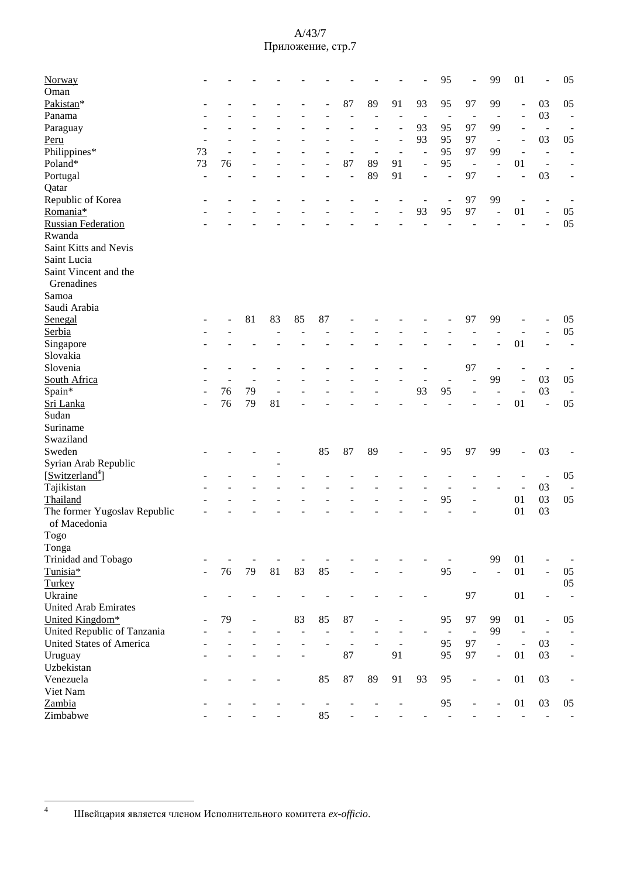| Norway                       |    |    |    |    |    |                          |                          |    |    |                | 95                       |                          | 99                           | 01                       | L,                           | 05                           |
|------------------------------|----|----|----|----|----|--------------------------|--------------------------|----|----|----------------|--------------------------|--------------------------|------------------------------|--------------------------|------------------------------|------------------------------|
| Oman                         |    |    |    |    |    |                          |                          |    |    |                |                          |                          |                              |                          |                              |                              |
| Pakistan*                    |    |    |    |    |    |                          | 87                       | 89 | 91 | 93             | 95                       | 97                       | 99                           | $\overline{\phantom{a}}$ | 03                           | 05                           |
| Panama                       |    |    |    |    |    |                          |                          |    |    |                | $\overline{a}$           |                          |                              | $\overline{\phantom{a}}$ | 03                           | $\overline{\phantom{a}}$     |
| Paraguay                     |    |    |    |    |    |                          |                          |    |    | 93             | 95                       | 97                       | 99                           | $\overline{\phantom{a}}$ | $\overline{\phantom{a}}$     |                              |
| Peru                         |    |    |    |    |    |                          |                          |    |    | 93             | 95                       | 97                       | $\overline{\phantom{a}}$     | $\overline{\phantom{a}}$ | 03                           | 05                           |
| Philippines*                 | 73 |    |    |    |    |                          | ÷.                       | ÷, |    | $\overline{a}$ | 95                       | 97                       | 99                           | $\blacksquare$           | ÷,                           |                              |
| Poland*                      | 73 | 76 |    |    |    |                          | 87                       | 89 | 91 | $\overline{a}$ | 95                       | $\overline{\phantom{a}}$ | $\qquad \qquad \blacksquare$ | 01                       | $\overline{a}$               |                              |
| Portugal                     |    |    |    |    |    |                          | $\overline{a}$           | 89 | 91 |                | $\overline{a}$           | 97                       | $\overline{a}$               | L,                       | 03                           | ÷                            |
| Qatar                        |    |    |    |    |    |                          |                          |    |    |                |                          |                          |                              |                          |                              |                              |
| Republic of Korea            |    |    |    |    |    |                          |                          |    |    |                | $\overline{\phantom{a}}$ | 97                       | 99                           | $\overline{\phantom{a}}$ | $\overline{\phantom{a}}$     |                              |
| Romania*                     |    |    |    |    |    |                          |                          |    |    | 93             | 95                       | 97                       |                              | 01                       | $\overline{\phantom{a}}$     | 05                           |
| <b>Russian Federation</b>    |    |    |    |    |    |                          |                          |    |    |                |                          |                          |                              |                          |                              | 05                           |
| Rwanda                       |    |    |    |    |    |                          |                          |    |    |                |                          |                          |                              |                          |                              |                              |
| Saint Kitts and Nevis        |    |    |    |    |    |                          |                          |    |    |                |                          |                          |                              |                          |                              |                              |
| Saint Lucia                  |    |    |    |    |    |                          |                          |    |    |                |                          |                          |                              |                          |                              |                              |
| Saint Vincent and the        |    |    |    |    |    |                          |                          |    |    |                |                          |                          |                              |                          |                              |                              |
| Grenadines                   |    |    |    |    |    |                          |                          |    |    |                |                          |                          |                              |                          |                              |                              |
| Samoa                        |    |    |    |    |    |                          |                          |    |    |                |                          |                          |                              |                          |                              |                              |
| Saudi Arabia                 |    |    |    |    |    |                          |                          |    |    |                |                          |                          |                              |                          |                              |                              |
| Senegal                      |    |    | 81 | 83 | 85 | 87                       |                          |    |    |                |                          | 97                       | 99                           |                          |                              | 05                           |
| Serbia                       |    |    |    |    |    |                          |                          |    |    |                |                          |                          |                              |                          |                              | 05                           |
| Singapore                    |    |    |    |    |    |                          |                          |    |    |                |                          |                          |                              | 01                       |                              | $\overline{a}$               |
| Slovakia                     |    |    |    |    |    |                          |                          |    |    |                |                          |                          |                              |                          |                              |                              |
| Slovenia                     |    |    |    |    |    |                          |                          |    |    |                |                          | 97                       |                              |                          |                              |                              |
|                              |    |    |    |    |    |                          |                          |    |    |                |                          |                          | 99                           |                          |                              |                              |
| South Africa                 |    |    |    |    |    |                          |                          |    |    |                |                          |                          |                              | L.                       | 03                           | 05                           |
| Spain*                       |    | 76 | 79 |    |    |                          |                          |    |    | 93             | 95                       |                          |                              |                          | 03                           |                              |
| Sri Lanka                    |    | 76 | 79 | 81 |    |                          |                          |    |    |                |                          |                          |                              | 01                       | L,                           | 05                           |
| Sudan                        |    |    |    |    |    |                          |                          |    |    |                |                          |                          |                              |                          |                              |                              |
| Suriname                     |    |    |    |    |    |                          |                          |    |    |                |                          |                          |                              |                          |                              |                              |
| Swaziland                    |    |    |    |    |    |                          |                          |    |    |                |                          |                          |                              |                          |                              |                              |
| Sweden                       |    |    |    |    |    | 85                       | 87                       | 89 |    |                | 95                       | 97                       | 99                           | $\overline{a}$           | 03                           |                              |
| Syrian Arab Republic         |    |    |    |    |    |                          |                          |    |    |                |                          |                          |                              |                          |                              |                              |
| [Switzerland <sup>4</sup> ]  |    |    |    |    |    |                          |                          |    |    |                |                          |                          |                              |                          | $\overline{a}$               | 05                           |
| Tajikistan                   |    |    |    |    |    |                          |                          |    |    |                |                          |                          |                              | $\overline{a}$           | 03                           |                              |
| Thailand                     |    |    |    |    |    |                          |                          |    |    |                | 95                       |                          |                              | 01                       | 03                           | 05                           |
| The former Yugoslav Republic |    |    |    |    |    |                          |                          |    |    |                |                          |                          |                              | 01                       | 03                           |                              |
| of Macedonia                 |    |    |    |    |    |                          |                          |    |    |                |                          |                          |                              |                          |                              |                              |
| $\rm Togo$                   |    |    |    |    |    |                          |                          |    |    |                |                          |                          |                              |                          |                              |                              |
| Tonga                        |    |    |    |    |    |                          |                          |    |    |                |                          |                          |                              |                          |                              |                              |
| Trinidad and Tobago          |    |    |    |    |    |                          |                          |    |    |                |                          |                          | 99                           | 01                       |                              |                              |
| Tunisia*                     |    | 76 | 79 | 81 | 83 | 85                       |                          |    |    |                | 95                       |                          | $\blacksquare$               | 01                       | ÷,                           | 05                           |
| Turkey                       |    |    |    |    |    |                          |                          |    |    |                |                          |                          |                              |                          |                              | 05                           |
| Ukraine                      |    |    |    |    |    |                          |                          |    |    |                |                          | 97                       |                              | 01                       | $\overline{a}$               | $\overline{a}$               |
| <b>United Arab Emirates</b>  |    |    |    |    |    |                          |                          |    |    |                |                          |                          |                              |                          |                              |                              |
| United Kingdom*              |    | 79 | ä, |    | 83 | 85                       | 87                       |    |    |                | 95                       | 97                       | 99                           | 01                       | $\overline{\phantom{a}}$     | 05                           |
| United Republic of Tanzania  |    |    |    |    |    |                          |                          |    |    |                | $\sim$                   | $\overline{\phantom{a}}$ | 99                           | $\Box$                   | $\overline{\phantom{a}}$     |                              |
| United States of America     |    |    |    |    |    |                          | $\overline{\phantom{a}}$ |    |    |                | 95                       | 97                       | $\overline{\phantom{a}}$     | $\overline{\phantom{a}}$ | 03                           | $\qquad \qquad \blacksquare$ |
| Uruguay                      |    |    |    |    |    |                          | 87                       |    | 91 |                | 95                       | 97                       | $\overline{\phantom{a}}$     | 01                       | 03                           | $\qquad \qquad \blacksquare$ |
| Uzbekistan                   |    |    |    |    |    |                          |                          |    |    |                |                          |                          |                              |                          |                              |                              |
| Venezuela                    |    |    |    |    |    | 85                       | 87                       | 89 | 91 | 93             | 95                       | $\overline{a}$           | $\qquad \qquad \blacksquare$ | 01                       | 03                           | $\overline{a}$               |
| Viet Nam                     |    |    |    |    |    |                          |                          |    |    |                |                          |                          |                              |                          |                              |                              |
| Zambia                       |    |    |    |    |    |                          |                          |    |    |                | 95                       |                          |                              | 01                       | 03                           | 05                           |
|                              |    |    |    |    |    | $\overline{\phantom{a}}$ |                          |    |    |                |                          |                          |                              |                          |                              |                              |
| Zimbabwe                     |    |    |    |    |    | 85                       |                          |    |    |                |                          |                          |                              |                          | $\qquad \qquad \blacksquare$ |                              |

<sup>&</sup>lt;sup>4</sup> Швейцария является членом Исполнительного комитета ex-officio.